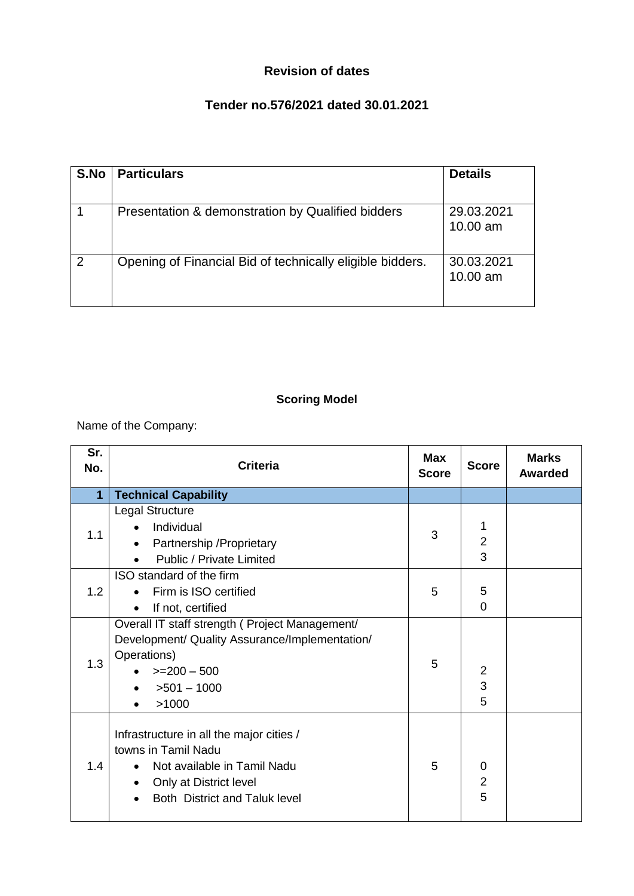## **Revision of dates**

## **Tender no.576/2021 dated 30.01.2021**

| S.No          | <b>Particulars</b>                                        | <b>Details</b>           |
|---------------|-----------------------------------------------------------|--------------------------|
|               | Presentation & demonstration by Qualified bidders         | 29.03.2021<br>$10.00$ am |
| $\mathcal{P}$ | Opening of Financial Bid of technically eligible bidders. | 30.03.2021<br>10.00 am   |

## **Scoring Model**

Name of the Company:

| Sr.<br>No.     | <b>Criteria</b>                                                                                                                                                               | <b>Max</b><br><b>Score</b> | <b>Score</b>                          | <b>Marks</b><br><b>Awarded</b> |
|----------------|-------------------------------------------------------------------------------------------------------------------------------------------------------------------------------|----------------------------|---------------------------------------|--------------------------------|
| $\overline{1}$ | <b>Technical Capability</b>                                                                                                                                                   |                            |                                       |                                |
| 1.1            | Legal Structure<br>Individual<br>Partnership / Proprietary<br>$\bullet$<br><b>Public / Private Limited</b>                                                                    | 3                          | 1<br>$\overline{2}$<br>3              |                                |
| 1.2            | ISO standard of the firm<br>Firm is ISO certified<br>If not, certified<br>$\bullet$                                                                                           | 5                          | 5<br>$\overline{0}$                   |                                |
| 1.3            | Overall IT staff strength (Project Management/<br>Development/ Quality Assurance/Implementation/<br>Operations)<br>$>=200-500$<br>$>501 - 1000$<br>>1000<br>$\bullet$         | 5                          | $\sqrt{2}$<br>$\overline{3}$<br>5     |                                |
| 1.4            | Infrastructure in all the major cities /<br>towns in Tamil Nadu<br>Not available in Tamil Nadu<br>Only at District level<br>$\bullet$<br><b>Both District and Taluk level</b> | 5                          | $\overline{0}$<br>$\overline{2}$<br>5 |                                |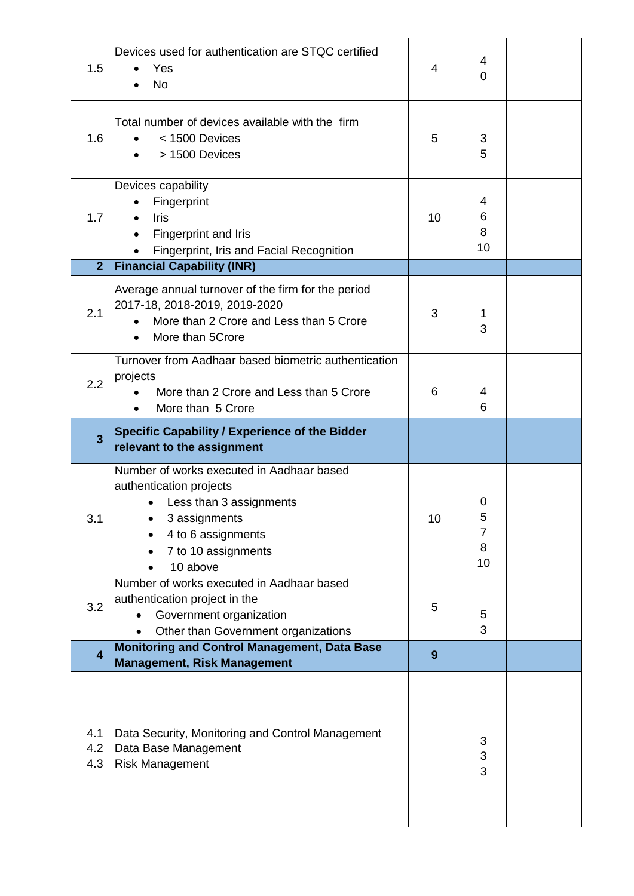| 1.5                     | Devices used for authentication are STQC certified<br>Yes<br><b>No</b>                                                                                                    | 4               | 4<br>$\overline{0}$    |  |
|-------------------------|---------------------------------------------------------------------------------------------------------------------------------------------------------------------------|-----------------|------------------------|--|
| 1.6                     | Total number of devices available with the firm<br>< 1500 Devices<br>> 1500 Devices                                                                                       | 5               | 3<br>5                 |  |
| 1.7<br>$\overline{2}$   | Devices capability<br>Fingerprint<br><b>Iris</b><br>Fingerprint and Iris<br>Fingerprint, Iris and Facial Recognition<br>$\bullet$<br><b>Financial Capability (INR)</b>    | 10 <sup>1</sup> | 4<br>6<br>8<br>10      |  |
|                         |                                                                                                                                                                           |                 |                        |  |
| 2.1                     | Average annual turnover of the firm for the period<br>2017-18, 2018-2019, 2019-2020<br>More than 2 Crore and Less than 5 Crore<br>More than 5Crore                        | 3               | 1<br>3                 |  |
| 2.2                     | Turnover from Aadhaar based biometric authentication<br>projects<br>More than 2 Crore and Less than 5 Crore<br>More than 5 Crore<br>$\bullet$                             | 6               | 4<br>6                 |  |
| $\overline{3}$          | <b>Specific Capability / Experience of the Bidder</b><br>relevant to the assignment                                                                                       |                 |                        |  |
| 3.1                     | Number of works executed in Aadhaar based<br>authentication projects<br>Less than 3 assignments<br>3 assignments<br>4 to 6 assignments<br>7 to 10 assignments<br>10 above | 10              | O<br>э<br>7<br>8<br>10 |  |
| 3.2                     | Number of works executed in Aadhaar based<br>authentication project in the<br>Government organization<br>Other than Government organizations                              | 5               | 5<br>3                 |  |
| $\overline{\mathbf{4}}$ | <b>Monitoring and Control Management, Data Base</b>                                                                                                                       | 9               |                        |  |
|                         | <b>Management, Risk Management</b>                                                                                                                                        |                 |                        |  |
| 4.1<br>4.2<br>4.3       | Data Security, Monitoring and Control Management<br>Data Base Management<br><b>Risk Management</b>                                                                        |                 | 3<br>3<br>3            |  |